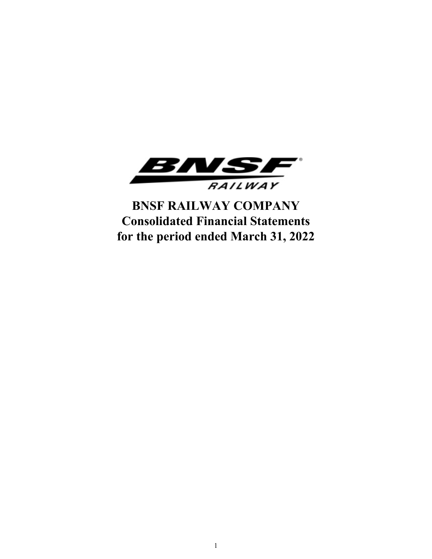

**BNSF RAILWAY COMPANY Consolidated Financial Statements for the period ended March 31, 2022**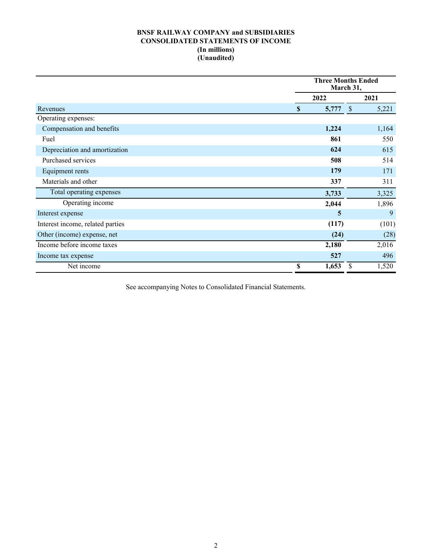# **BNSF RAILWAY COMPANY and SUBSIDIARIES CONSOLIDATED STATEMENTS OF INCOME (In millions) (Unaudited)**

|                                  |                      | <b>Three Months Ended</b><br>March 31, |       |  |  |  |
|----------------------------------|----------------------|----------------------------------------|-------|--|--|--|
|                                  | 2022                 |                                        | 2021  |  |  |  |
| Revenues                         | 5,777<br>$\mathbf S$ | $\mathcal{S}$                          | 5,221 |  |  |  |
| Operating expenses:              |                      |                                        |       |  |  |  |
| Compensation and benefits        | 1,224                |                                        | 1,164 |  |  |  |
| Fuel                             |                      | 861                                    | 550   |  |  |  |
| Depreciation and amortization    |                      | 624                                    | 615   |  |  |  |
| Purchased services               |                      | 508                                    | 514   |  |  |  |
| Equipment rents                  |                      | 179                                    | 171   |  |  |  |
| Materials and other              |                      | 337                                    | 311   |  |  |  |
| Total operating expenses         | 3,733                |                                        | 3,325 |  |  |  |
| Operating income                 | 2,044                |                                        | 1,896 |  |  |  |
| Interest expense                 |                      | 5                                      | 9     |  |  |  |
| Interest income, related parties |                      | (117)                                  | (101) |  |  |  |
| Other (income) expense, net      |                      | (24)                                   | (28)  |  |  |  |
| Income before income taxes       | 2,180                |                                        | 2,016 |  |  |  |
| Income tax expense               |                      | 527                                    | 496   |  |  |  |
| Net income                       | \$<br>1,653          | S                                      | 1,520 |  |  |  |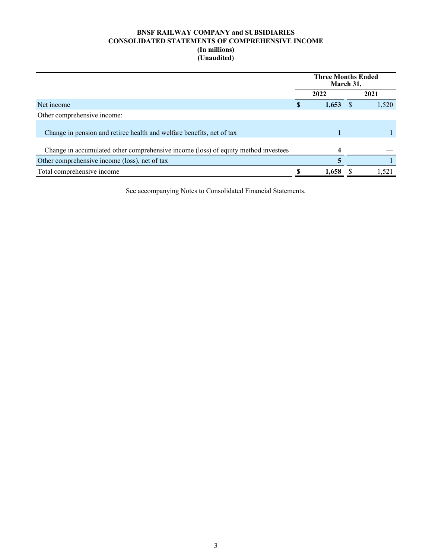# **BNSF RAILWAY COMPANY and SUBSIDIARIES CONSOLIDATED STATEMENTS OF COMPREHENSIVE INCOME (In millions) (Unaudited)**

|                                                                                    |   | <b>Three Months Ended</b><br>March 31, |       |
|------------------------------------------------------------------------------------|---|----------------------------------------|-------|
|                                                                                    |   | 2022                                   | 2021  |
| Net income                                                                         | S | 1,653                                  | 1,520 |
| Other comprehensive income:                                                        |   |                                        |       |
| Change in pension and retiree health and welfare benefits, net of tax              |   |                                        |       |
| Change in accumulated other comprehensive income (loss) of equity method investees |   |                                        |       |
| Other comprehensive income (loss), net of tax                                      |   |                                        |       |
| Total comprehensive income                                                         |   | 1,658                                  | 1,521 |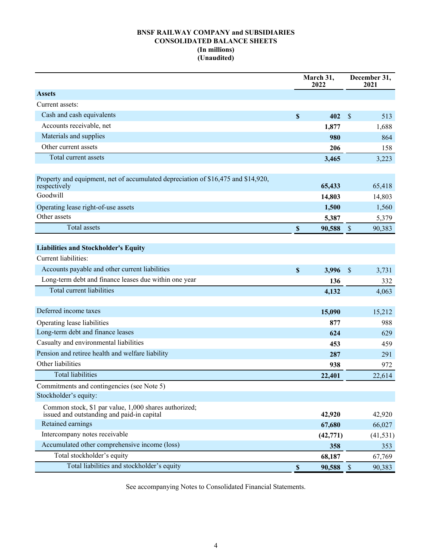# **BNSF RAILWAY COMPANY and SUBSIDIARIES CONSOLIDATED BALANCE SHEETS (In millions) (Unaudited)**

|                                                                                                     |                           | March 31,<br>2022 |                           | December 31,<br>2021 |
|-----------------------------------------------------------------------------------------------------|---------------------------|-------------------|---------------------------|----------------------|
| <b>Assets</b>                                                                                       |                           |                   |                           |                      |
| Current assets:                                                                                     |                           |                   |                           |                      |
| Cash and cash equivalents                                                                           | \$                        | 402               | \$                        | 513                  |
| Accounts receivable, net                                                                            |                           | 1,877             |                           | 1,688                |
| Materials and supplies                                                                              |                           | 980               |                           | 864                  |
| Other current assets                                                                                |                           | 206               |                           | 158                  |
| Total current assets                                                                                |                           | 3,465             |                           | 3,223                |
|                                                                                                     |                           |                   |                           |                      |
| Property and equipment, net of accumulated depreciation of \$16,475 and \$14,920,<br>respectively   |                           | 65,433            |                           | 65,418               |
| Goodwill                                                                                            |                           | 14,803            |                           | 14,803               |
| Operating lease right-of-use assets                                                                 |                           | 1,500             |                           | 1,560                |
| Other assets                                                                                        |                           | 5,387             |                           | 5,379                |
| Total assets                                                                                        | $\boldsymbol{\mathsf{S}}$ | 90,588            | $\mathcal{S}$             | 90,383               |
|                                                                                                     |                           |                   |                           |                      |
| <b>Liabilities and Stockholder's Equity</b>                                                         |                           |                   |                           |                      |
| Current liabilities:                                                                                |                           |                   |                           |                      |
| Accounts payable and other current liabilities                                                      | $\mathbf S$               | 3,996             | $\mathcal{S}$             | 3,731                |
| Long-term debt and finance leases due within one year                                               |                           | 136               |                           | 332                  |
| <b>Total current liabilities</b>                                                                    |                           | 4,132             |                           | 4,063                |
|                                                                                                     |                           |                   |                           |                      |
| Deferred income taxes                                                                               |                           | 15,090            |                           | 15,212               |
| Operating lease liabilities                                                                         |                           | 877               |                           | 988                  |
| Long-term debt and finance leases                                                                   |                           | 624               |                           | 629                  |
| Casualty and environmental liabilities                                                              |                           | 453               |                           | 459                  |
| Pension and retiree health and welfare liability                                                    |                           | 287               |                           | 291                  |
| Other liabilities                                                                                   |                           | 938               |                           | 972                  |
| <b>Total liabilities</b>                                                                            |                           | 22,401            |                           | 22,614               |
| Commitments and contingencies (see Note 5)                                                          |                           |                   |                           |                      |
| Stockholder's equity:                                                                               |                           |                   |                           |                      |
| Common stock, \$1 par value, 1,000 shares authorized;<br>issued and outstanding and paid-in capital |                           | 42,920            |                           | 42,920               |
| Retained earnings                                                                                   |                           | 67,680            |                           | 66,027               |
| Intercompany notes receivable                                                                       |                           | (42, 771)         |                           | (41, 531)            |
| Accumulated other comprehensive income (loss)                                                       |                           | 358               |                           | 353                  |
| Total stockholder's equity                                                                          |                           | 68,187            |                           | 67,769               |
| Total liabilities and stockholder's equity                                                          | $\$$                      | 90,588            | $\boldsymbol{\mathsf{S}}$ | 90,383               |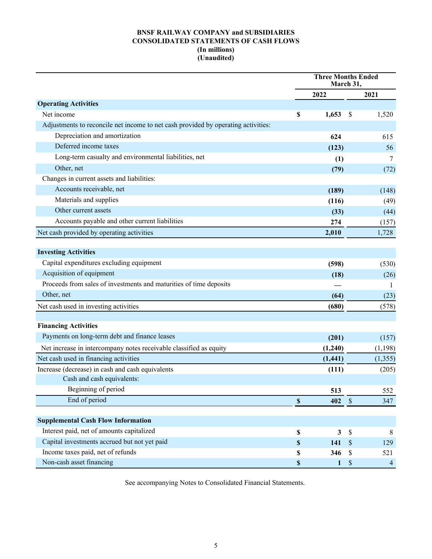# **BNSF RAILWAY COMPANY and SUBSIDIARIES CONSOLIDATED STATEMENTS OF CASH FLOWS (In millions) (Unaudited)**

|                                                                                   | <b>Three Months Ended</b><br>March 31, |              |               |                |
|-----------------------------------------------------------------------------------|----------------------------------------|--------------|---------------|----------------|
|                                                                                   |                                        | 2022         |               | 2021           |
| <b>Operating Activities</b>                                                       |                                        |              |               |                |
| Net income                                                                        | \$                                     | 1,653        | -S            | 1,520          |
| Adjustments to reconcile net income to net cash provided by operating activities: |                                        |              |               |                |
| Depreciation and amortization                                                     |                                        | 624          |               | 615            |
| Deferred income taxes                                                             |                                        | (123)        |               | 56             |
| Long-term casualty and environmental liabilities, net                             |                                        | (1)          |               | 7              |
| Other, net                                                                        |                                        | (79)         |               | (72)           |
| Changes in current assets and liabilities:                                        |                                        |              |               |                |
| Accounts receivable, net                                                          |                                        | (189)        |               | (148)          |
| Materials and supplies                                                            |                                        | (116)        |               | (49)           |
| Other current assets                                                              |                                        | (33)         |               | (44)           |
| Accounts payable and other current liabilities                                    |                                        | 274          |               | (157)          |
| Net cash provided by operating activities                                         |                                        | 2,010        |               | 1,728          |
| <b>Investing Activities</b>                                                       |                                        |              |               |                |
| Capital expenditures excluding equipment                                          |                                        | (598)        |               | (530)          |
| Acquisition of equipment                                                          |                                        | (18)         |               | (26)           |
| Proceeds from sales of investments and maturities of time deposits                |                                        |              |               | 1              |
| Other, net                                                                        |                                        | (64)         |               | (23)           |
| Net cash used in investing activities                                             |                                        | (680)        |               | (578)          |
|                                                                                   |                                        |              |               |                |
| <b>Financing Activities</b>                                                       |                                        |              |               |                |
| Payments on long-term debt and finance leases                                     |                                        | (201)        |               | (157)          |
| Net increase in intercompany notes receivable classified as equity                |                                        | (1,240)      |               | (1, 198)       |
| Net cash used in financing activities                                             |                                        | (1, 441)     |               | (1,355)        |
| Increase (decrease) in cash and cash equivalents                                  |                                        | (111)        |               | (205)          |
| Cash and cash equivalents:                                                        |                                        |              |               |                |
| Beginning of period                                                               |                                        | 513          |               | 552            |
| End of period                                                                     | $\boldsymbol{\mathsf{S}}$              | 402          | $\sqrt{\ }$   | 347            |
| <b>Supplemental Cash Flow Information</b>                                         |                                        |              |               |                |
| Interest paid, net of amounts capitalized                                         | $\mathbb S$                            | $\mathbf{3}$ | $\mathbb{S}$  | 8              |
| Capital investments accrued but not yet paid                                      | \$                                     | 141          | $\mathcal{S}$ | 129            |
| Income taxes paid, net of refunds                                                 | \$                                     | 346          | $\mathsf{\$}$ | 521            |
| Non-cash asset financing                                                          | $\boldsymbol{\mathsf{S}}$              | $\mathbf{1}$ | $\mathbb{S}$  | $\overline{4}$ |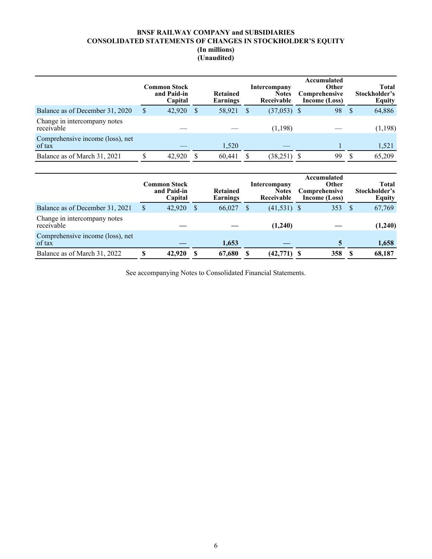# **BNSF RAILWAY COMPANY and SUBSIDIARIES CONSOLIDATED STATEMENTS OF CHANGES IN STOCKHOLDER'S EQUITY (In millions) (Unaudited)**

|                                            | <b>Common Stock</b><br>and Paid-in<br>Capital |               | Intercompany<br><b>Retained</b><br><b>Notes</b><br><b>Earnings</b><br>Receivable |  | Accumulated<br><b>Other</b><br><b>Comprehensive</b><br>Income (Loss) |    | Stockholder's<br>Equity |         |
|--------------------------------------------|-----------------------------------------------|---------------|----------------------------------------------------------------------------------|--|----------------------------------------------------------------------|----|-------------------------|---------|
| Balance as of December 31, 2020            | \$<br>42,920                                  | <sup>\$</sup> | 58,921                                                                           |  | $(37,053)$ \$                                                        | 98 | -S                      | 64,886  |
| Change in intercompany notes<br>receivable |                                               |               |                                                                                  |  | (1,198)                                                              |    |                         | (1,198) |
| Comprehensive income (loss), net<br>of tax |                                               |               | 1,520                                                                            |  |                                                                      |    |                         | 1,521   |
| Balance as of March 31, 2021               | 42,920                                        |               | 60,441                                                                           |  | (38,251)                                                             | 99 |                         | 65,209  |

|                                            |    | Common Stock<br>and Paid-in<br>Capital |   | <b>Retained</b><br>Earnings | Intercompany<br><b>Notes</b><br>Receivable | Accumulated<br><b>Other</b><br><b>Comprehensive</b><br>Income (Loss) |    | <b>Total</b><br>Stockholder's<br><b>Equity</b> |
|--------------------------------------------|----|----------------------------------------|---|-----------------------------|--------------------------------------------|----------------------------------------------------------------------|----|------------------------------------------------|
| Balance as of December 31, 2021            | \$ | 42,920                                 | S | 66,027                      | $(41,531)$ \$                              | 353                                                                  | S  | 67,769                                         |
| Change in intercompany notes<br>receivable |    |                                        |   |                             | (1,240)                                    |                                                                      |    | (1,240)                                        |
| Comprehensive income (loss), net<br>of tax |    |                                        |   | 1,653                       |                                            | 5                                                                    |    | 1,658                                          |
| Balance as of March 31, 2022               | S  | 42,920                                 |   | 67,680                      | (42,771)                                   | 358                                                                  | -S | 68,187                                         |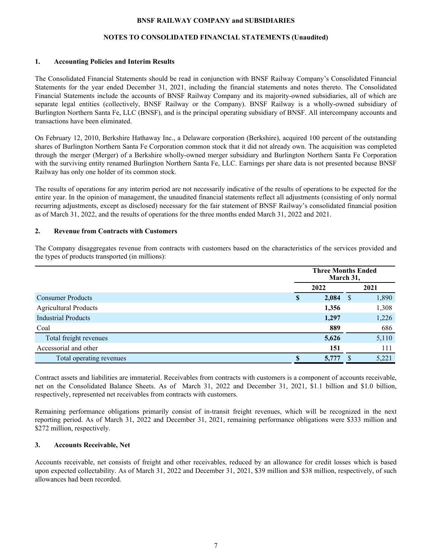## **NOTES TO CONSOLIDATED FINANCIAL STATEMENTS (Unaudited)**

## **1. Accounting Policies and Interim Results**

The Consolidated Financial Statements should be read in conjunction with BNSF Railway Company's Consolidated Financial Statements for the year ended December 31, 2021, including the financial statements and notes thereto. The Consolidated Financial Statements include the accounts of BNSF Railway Company and its majority-owned subsidiaries, all of which are separate legal entities (collectively, BNSF Railway or the Company). BNSF Railway is a wholly-owned subsidiary of Burlington Northern Santa Fe, LLC (BNSF), and is the principal operating subsidiary of BNSF. All intercompany accounts and transactions have been eliminated.

On February 12, 2010, Berkshire Hathaway Inc., a Delaware corporation (Berkshire), acquired 100 percent of the outstanding shares of Burlington Northern Santa Fe Corporation common stock that it did not already own. The acquisition was completed through the merger (Merger) of a Berkshire wholly-owned merger subsidiary and Burlington Northern Santa Fe Corporation with the surviving entity renamed Burlington Northern Santa Fe, LLC. Earnings per share data is not presented because BNSF Railway has only one holder of its common stock.

The results of operations for any interim period are not necessarily indicative of the results of operations to be expected for the entire year. In the opinion of management, the unaudited financial statements reflect all adjustments (consisting of only normal recurring adjustments, except as disclosed) necessary for the fair statement of BNSF Railway's consolidated financial position as of March 31, 2022, and the results of operations for the three months ended March 31, 2022 and 2021.

## **2. Revenue from Contracts with Customers**

The Company disaggregates revenue from contracts with customers based on the characteristics of the services provided and the types of products transported (in millions):

|                              | <b>Three Months Ended</b><br>March 31, |       |   |       |
|------------------------------|----------------------------------------|-------|---|-------|
|                              |                                        | 2022  |   | 2021  |
| <b>Consumer Products</b>     | S                                      | 2,084 | S | 1,890 |
| <b>Agricultural Products</b> |                                        | 1,356 |   | 1,308 |
| <b>Industrial Products</b>   |                                        | 1,297 |   | 1,226 |
| Coal                         |                                        | 889   |   | 686   |
| Total freight revenues       |                                        | 5,626 |   | 5,110 |
| Accessorial and other        |                                        | 151   |   | 111   |
| Total operating revenues     | S                                      | 5,777 |   | 5,221 |

Contract assets and liabilities are immaterial. Receivables from contracts with customers is a component of accounts receivable, net on the Consolidated Balance Sheets. As of March 31, 2022 and December 31, 2021, \$1.1 billion and \$1.0 billion, respectively, represented net receivables from contracts with customers.

Remaining performance obligations primarily consist of in-transit freight revenues, which will be recognized in the next reporting period. As of March 31, 2022 and December 31, 2021, remaining performance obligations were \$333 million and \$272 million, respectively.

## **3. Accounts Receivable, Net**

Accounts receivable, net consists of freight and other receivables, reduced by an allowance for credit losses which is based upon expected collectability. As of March 31, 2022 and December 31, 2021, \$39 million and \$38 million, respectively, of such allowances had been recorded.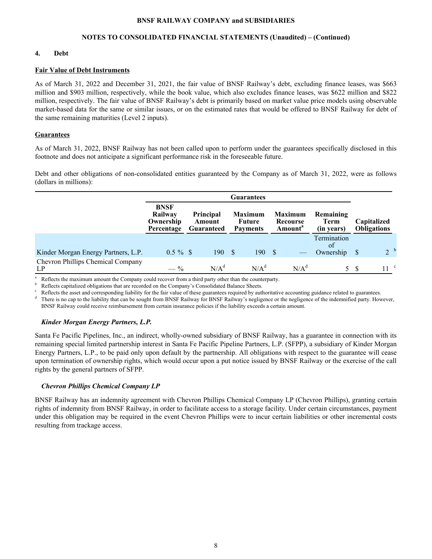## **NOTES TO CONSOLIDATED FINANCIAL STATEMENTS (Unaudited) – (Continued)**

## **4. Debt**

#### **Fair Value of Debt Instruments**

As of March 31, 2022 and December 31, 2021, the fair value of BNSF Railway's debt, excluding finance leases, was \$663 million and \$903 million, respectively, while the book value, which also excludes finance leases, was \$622 million and \$822 million, respectively. The fair value of BNSF Railway's debt is primarily based on market value price models using observable market-based data for the same or similar issues, or on the estimated rates that would be offered to BNSF Railway for debt of the same remaining maturities (Level 2 inputs).

## **Guarantees**

As of March 31, 2022, BNSF Railway has not been called upon to perform under the guarantees specifically disclosed in this footnote and does not anticipate a significant performance risk in the foreseeable future.

Debt and other obligations of non-consolidated entities guaranteed by the Company as of March 31, 2022, were as follows (dollars in millions):

|                                         | Guarantees                                        |                                                 |     |  |                                             |     |                                                   |                                        |    |                                   |
|-----------------------------------------|---------------------------------------------------|-------------------------------------------------|-----|--|---------------------------------------------|-----|---------------------------------------------------|----------------------------------------|----|-----------------------------------|
|                                         | <b>BNSF</b><br>Railway<br>Ownership<br>Percentage | <b>Principal</b><br>Amount<br><b>Guaranteed</b> |     |  | <b>Maximum</b><br>Future<br><b>Payments</b> |     | <b>Maximum</b><br>Recourse<br>Amount <sup>a</sup> | Remaining<br><b>Term</b><br>(in years) |    | Capitalized<br><b>Obligations</b> |
| Kinder Morgan Energy Partners, L.P.     | $0.5 \%$ \$                                       |                                                 | 190 |  | 190                                         | S S |                                                   | Termination<br>of<br>Ownership         |    | 2 <sup>b</sup>                    |
| Chevron Phillips Chemical Company<br>LP | $-$ %                                             | N/A <sup>d</sup>                                |     |  | N/A <sup>d</sup>                            |     | N/A <sup>d</sup>                                  |                                        | 5S | 11 <sup>c</sup>                   |

<sup>a</sup> Reflects the maximum amount the Company could recover from a third party other than the counterparty.

Reflects capitalized obligations that are recorded on the Company's Consolidated Balance Sheets.

Reflects the asset and corresponding liability for the fair value of these guarantees required by authoritative accounting guidance related to guarantees.

There is no cap to the liability that can be sought from BNSF Railway for BNSF Railway's negligence or the negligence of the indemnified party. However, BNSF Railway could receive reimbursement from certain insurance policies if the liability exceeds a certain amount.

## *Kinder Morgan Energy Partners, L.P.*

Santa Fe Pacific Pipelines, Inc., an indirect, wholly-owned subsidiary of BNSF Railway, has a guarantee in connection with its remaining special limited partnership interest in Santa Fe Pacific Pipeline Partners, L.P. (SFPP), a subsidiary of Kinder Morgan Energy Partners, L.P., to be paid only upon default by the partnership. All obligations with respect to the guarantee will cease upon termination of ownership rights, which would occur upon a put notice issued by BNSF Railway or the exercise of the call rights by the general partners of SFPP.

## *Chevron Phillips Chemical Company LP*

BNSF Railway has an indemnity agreement with Chevron Phillips Chemical Company LP (Chevron Phillips), granting certain rights of indemnity from BNSF Railway, in order to facilitate access to a storage facility. Under certain circumstances, payment under this obligation may be required in the event Chevron Phillips were to incur certain liabilities or other incremental costs resulting from trackage access.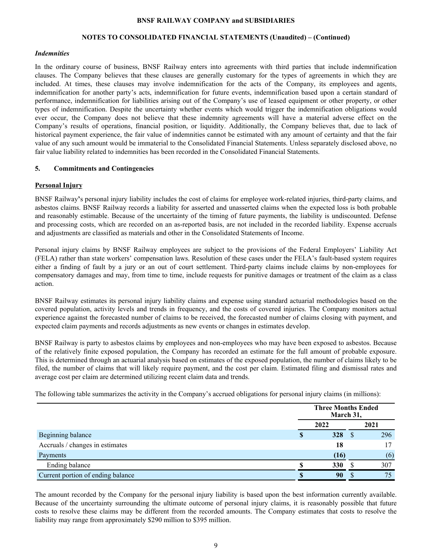#### **NOTES TO CONSOLIDATED FINANCIAL STATEMENTS (Unaudited) – (Continued)**

#### *Indemnities*

In the ordinary course of business, BNSF Railway enters into agreements with third parties that include indemnification clauses. The Company believes that these clauses are generally customary for the types of agreements in which they are included. At times, these clauses may involve indemnification for the acts of the Company, its employees and agents, indemnification for another party's acts, indemnification for future events, indemnification based upon a certain standard of performance, indemnification for liabilities arising out of the Company's use of leased equipment or other property, or other types of indemnification. Despite the uncertainty whether events which would trigger the indemnification obligations would ever occur, the Company does not believe that these indemnity agreements will have a material adverse effect on the Company's results of operations, financial position, or liquidity. Additionally, the Company believes that, due to lack of historical payment experience, the fair value of indemnities cannot be estimated with any amount of certainty and that the fair value of any such amount would be immaterial to the Consolidated Financial Statements. Unless separately disclosed above, no fair value liability related to indemnities has been recorded in the Consolidated Financial Statements.

## **5. Commitments and Contingencies**

## **Personal Injury**

BNSF Railway**'**s personal injury liability includes the cost of claims for employee work-related injuries, third-party claims, and asbestos claims. BNSF Railway records a liability for asserted and unasserted claims when the expected loss is both probable and reasonably estimable. Because of the uncertainty of the timing of future payments, the liability is undiscounted. Defense and processing costs, which are recorded on an as-reported basis, are not included in the recorded liability. Expense accruals and adjustments are classified as materials and other in the Consolidated Statements of Income.

Personal injury claims by BNSF Railway employees are subject to the provisions of the Federal Employers' Liability Act (FELA) rather than state workers' compensation laws. Resolution of these cases under the FELA's fault-based system requires either a finding of fault by a jury or an out of court settlement. Third-party claims include claims by non-employees for compensatory damages and may, from time to time, include requests for punitive damages or treatment of the claim as a class action.

BNSF Railway estimates its personal injury liability claims and expense using standard actuarial methodologies based on the covered population, activity levels and trends in frequency, and the costs of covered injuries. The Company monitors actual experience against the forecasted number of claims to be received, the forecasted number of claims closing with payment, and expected claim payments and records adjustments as new events or changes in estimates develop.

BNSF Railway is party to asbestos claims by employees and non-employees who may have been exposed to asbestos. Because of the relatively finite exposed population, the Company has recorded an estimate for the full amount of probable exposure. This is determined through an actuarial analysis based on estimates of the exposed population, the number of claims likely to be filed, the number of claims that will likely require payment, and the cost per claim. Estimated filing and dismissal rates and average cost per claim are determined utilizing recent claim data and trends.

The following table summarizes the activity in the Company's accrued obligations for personal injury claims (in millions):

|                                   | <b>Three Months Ended</b><br>March 31, |  |      |  |  |
|-----------------------------------|----------------------------------------|--|------|--|--|
|                                   | 2022                                   |  | 2021 |  |  |
| Beginning balance                 | 328                                    |  | 296  |  |  |
| Accruals / changes in estimates   | 18                                     |  |      |  |  |
| Payments                          | (16)                                   |  | (6)  |  |  |
| Ending balance                    | 330                                    |  | 307  |  |  |
| Current portion of ending balance | 90                                     |  | 75   |  |  |

The amount recorded by the Company for the personal injury liability is based upon the best information currently available. Because of the uncertainty surrounding the ultimate outcome of personal injury claims, it is reasonably possible that future costs to resolve these claims may be different from the recorded amounts. The Company estimates that costs to resolve the liability may range from approximately \$290 million to \$395 million.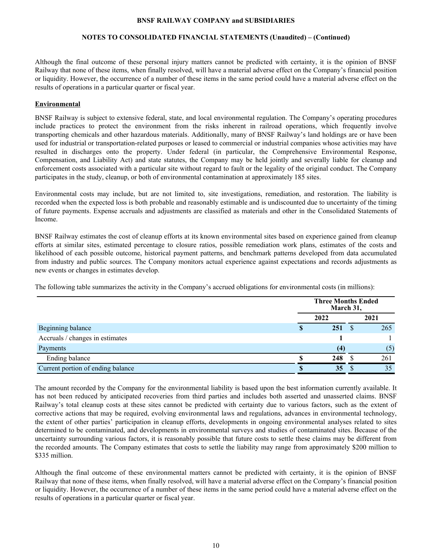## **NOTES TO CONSOLIDATED FINANCIAL STATEMENTS (Unaudited) – (Continued)**

Although the final outcome of these personal injury matters cannot be predicted with certainty, it is the opinion of BNSF Railway that none of these items, when finally resolved, will have a material adverse effect on the Company's financial position or liquidity. However, the occurrence of a number of these items in the same period could have a material adverse effect on the results of operations in a particular quarter or fiscal year.

## **Environmental**

BNSF Railway is subject to extensive federal, state, and local environmental regulation. The Company's operating procedures include practices to protect the environment from the risks inherent in railroad operations, which frequently involve transporting chemicals and other hazardous materials. Additionally, many of BNSF Railway's land holdings are or have been used for industrial or transportation-related purposes or leased to commercial or industrial companies whose activities may have resulted in discharges onto the property. Under federal (in particular, the Comprehensive Environmental Response, Compensation, and Liability Act) and state statutes, the Company may be held jointly and severally liable for cleanup and enforcement costs associated with a particular site without regard to fault or the legality of the original conduct. The Company participates in the study, cleanup, or both of environmental contamination at approximately 185 sites.

Environmental costs may include, but are not limited to, site investigations, remediation, and restoration. The liability is recorded when the expected loss is both probable and reasonably estimable and is undiscounted due to uncertainty of the timing of future payments. Expense accruals and adjustments are classified as materials and other in the Consolidated Statements of Income.

BNSF Railway estimates the cost of cleanup efforts at its known environmental sites based on experience gained from cleanup efforts at similar sites, estimated percentage to closure ratios, possible remediation work plans, estimates of the costs and likelihood of each possible outcome, historical payment patterns, and benchmark patterns developed from data accumulated from industry and public sources. The Company monitors actual experience against expectations and records adjustments as new events or changes in estimates develop.

The following table summarizes the activity in the Company's accrued obligations for environmental costs (in millions):

|                                   | <b>Three Months Ended</b><br>March 31, |      |
|-----------------------------------|----------------------------------------|------|
|                                   | 2022                                   | 2021 |
| Beginning balance                 | 251                                    | 265  |
| Accruals / changes in estimates   |                                        |      |
| Payments                          | (4)                                    | (5)  |
| Ending balance                    | 248                                    | 261  |
| Current portion of ending balance | 35                                     | 35   |

The amount recorded by the Company for the environmental liability is based upon the best information currently available. It has not been reduced by anticipated recoveries from third parties and includes both asserted and unasserted claims. BNSF Railway's total cleanup costs at these sites cannot be predicted with certainty due to various factors, such as the extent of corrective actions that may be required, evolving environmental laws and regulations, advances in environmental technology, the extent of other parties' participation in cleanup efforts, developments in ongoing environmental analyses related to sites determined to be contaminated, and developments in environmental surveys and studies of contaminated sites. Because of the uncertainty surrounding various factors, it is reasonably possible that future costs to settle these claims may be different from the recorded amounts. The Company estimates that costs to settle the liability may range from approximately \$200 million to \$335 million.

Although the final outcome of these environmental matters cannot be predicted with certainty, it is the opinion of BNSF Railway that none of these items, when finally resolved, will have a material adverse effect on the Company's financial position or liquidity. However, the occurrence of a number of these items in the same period could have a material adverse effect on the results of operations in a particular quarter or fiscal year.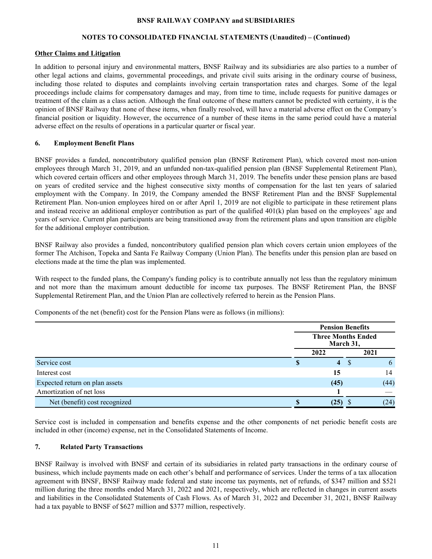## **NOTES TO CONSOLIDATED FINANCIAL STATEMENTS (Unaudited) – (Continued)**

## **Other Claims and Litigation**

In addition to personal injury and environmental matters, BNSF Railway and its subsidiaries are also parties to a number of other legal actions and claims, governmental proceedings, and private civil suits arising in the ordinary course of business, including those related to disputes and complaints involving certain transportation rates and charges. Some of the legal proceedings include claims for compensatory damages and may, from time to time, include requests for punitive damages or treatment of the claim as a class action. Although the final outcome of these matters cannot be predicted with certainty, it is the opinion of BNSF Railway that none of these items, when finally resolved, will have a material adverse effect on the Company's financial position or liquidity. However, the occurrence of a number of these items in the same period could have a material adverse effect on the results of operations in a particular quarter or fiscal year.

## **6. Employment Benefit Plans**

BNSF provides a funded, noncontributory qualified pension plan (BNSF Retirement Plan), which covered most non-union employees through March 31, 2019, and an unfunded non-tax-qualified pension plan (BNSF Supplemental Retirement Plan), which covered certain officers and other employees through March 31, 2019. The benefits under these pension plans are based on years of credited service and the highest consecutive sixty months of compensation for the last ten years of salaried employment with the Company. In 2019, the Company amended the BNSF Retirement Plan and the BNSF Supplemental Retirement Plan. Non-union employees hired on or after April 1, 2019 are not eligible to participate in these retirement plans and instead receive an additional employer contribution as part of the qualified  $401(k)$  plan based on the employees' age and years of service. Current plan participants are being transitioned away from the retirement plans and upon transition are eligible for the additional employer contribution.

BNSF Railway also provides a funded, noncontributory qualified pension plan which covers certain union employees of the former The Atchison, Topeka and Santa Fe Railway Company (Union Plan). The benefits under this pension plan are based on elections made at the time the plan was implemented.

With respect to the funded plans, the Company's funding policy is to contribute annually not less than the regulatory minimum and not more than the maximum amount deductible for income tax purposes. The BNSF Retirement Plan, the BNSF Supplemental Retirement Plan, and the Union Plan are collectively referred to herein as the Pension Plans.

Components of the net (benefit) cost for the Pension Plans were as follows (in millions):

|                                |                                        | <b>Pension Benefits</b> |  |  |  |
|--------------------------------|----------------------------------------|-------------------------|--|--|--|
|                                | <b>Three Months Ended</b><br>March 31, |                         |  |  |  |
|                                | 2022                                   | 2021                    |  |  |  |
| Service cost                   | $\overline{4}$                         | b<br>Ъ                  |  |  |  |
| Interest cost                  | 15                                     | 14                      |  |  |  |
| Expected return on plan assets | (45)                                   | (44)                    |  |  |  |
| Amortization of net loss       |                                        |                         |  |  |  |
| Net (benefit) cost recognized  | (25)                                   | (24)                    |  |  |  |

Service cost is included in compensation and benefits expense and the other components of net periodic benefit costs are included in other (income) expense, net in the Consolidated Statements of Income.

# **7. Related Party Transactions**

BNSF Railway is involved with BNSF and certain of its subsidiaries in related party transactions in the ordinary course of business, which include payments made on each other's behalf and performance of services. Under the terms of a tax allocation agreement with BNSF, BNSF Railway made federal and state income tax payments, net of refunds, of \$347 million and \$521 million during the three months ended March 31, 2022 and 2021, respectively, which are reflected in changes in current assets and liabilities in the Consolidated Statements of Cash Flows. As of March 31, 2022 and December 31, 2021, BNSF Railway had a tax payable to BNSF of \$627 million and \$377 million, respectively.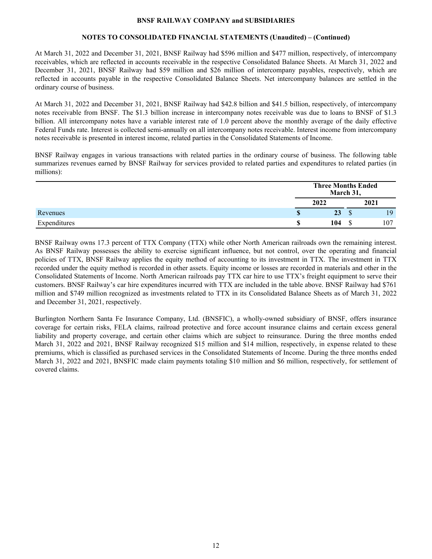## **NOTES TO CONSOLIDATED FINANCIAL STATEMENTS (Unaudited) – (Continued)**

At March 31, 2022 and December 31, 2021, BNSF Railway had \$596 million and \$477 million, respectively, of intercompany receivables, which are reflected in accounts receivable in the respective Consolidated Balance Sheets. At March 31, 2022 and December 31, 2021, BNSF Railway had \$59 million and \$26 million of intercompany payables, respectively, which are reflected in accounts payable in the respective Consolidated Balance Sheets. Net intercompany balances are settled in the ordinary course of business.

At March 31, 2022 and December 31, 2021, BNSF Railway had \$42.8 billion and \$41.5 billion, respectively, of intercompany notes receivable from BNSF. The \$1.3 billion increase in intercompany notes receivable was due to loans to BNSF of \$1.3 billion. All intercompany notes have a variable interest rate of 1.0 percent above the monthly average of the daily effective Federal Funds rate. Interest is collected semi-annually on all intercompany notes receivable. Interest income from intercompany notes receivable is presented in interest income, related parties in the Consolidated Statements of Income.

BNSF Railway engages in various transactions with related parties in the ordinary course of business. The following table summarizes revenues earned by BNSF Railway for services provided to related parties and expenditures to related parties (in millions):

|              |    | <b>Three Months Ended</b><br>March 31, |         |      |
|--------------|----|----------------------------------------|---------|------|
|              |    | 2022                                   |         | 2021 |
| Revenues     | Φ  | 23                                     | ¢<br>۰D | 19   |
| Expenditures | ٨D | 104                                    | ــه     | 107  |

BNSF Railway owns 17.3 percent of TTX Company (TTX) while other North American railroads own the remaining interest. As BNSF Railway possesses the ability to exercise significant influence, but not control, over the operating and financial policies of TTX, BNSF Railway applies the equity method of accounting to its investment in TTX. The investment in TTX recorded under the equity method is recorded in other assets. Equity income or losses are recorded in materials and other in the Consolidated Statements of Income. North American railroads pay TTX car hire to use TTX's freight equipment to serve their customers. BNSF Railway's car hire expenditures incurred with TTX are included in the table above. BNSF Railway had \$761 million and \$749 million recognized as investments related to TTX in its Consolidated Balance Sheets as of March 31, 2022 and December 31, 2021, respectively.

Burlington Northern Santa Fe Insurance Company, Ltd. (BNSFIC), a wholly-owned subsidiary of BNSF, offers insurance coverage for certain risks, FELA claims, railroad protective and force account insurance claims and certain excess general liability and property coverage, and certain other claims which are subject to reinsurance. During the three months ended March 31, 2022 and 2021, BNSF Railway recognized \$15 million and \$14 million, respectively, in expense related to these premiums, which is classified as purchased services in the Consolidated Statements of Income. During the three months ended March 31, 2022 and 2021, BNSFIC made claim payments totaling \$10 million and \$6 million, respectively, for settlement of covered claims.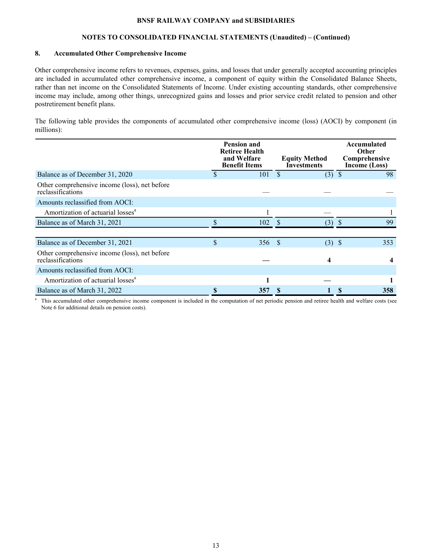## **NOTES TO CONSOLIDATED FINANCIAL STATEMENTS (Unaudited) – (Continued)**

## **8. Accumulated Other Comprehensive Income**

Other comprehensive income refers to revenues, expenses, gains, and losses that under generally accepted accounting principles are included in accumulated other comprehensive income, a component of equity within the Consolidated Balance Sheets, rather than net income on the Consolidated Statements of Income. Under existing accounting standards, other comprehensive income may include, among other things, unrecognized gains and losses and prior service credit related to pension and other postretirement benefit plans.

The following table provides the components of accumulated other comprehensive income (loss) (AOCI) by component (in millions):

|                                                                    | <b>Pension and</b><br><b>Retiree Health</b><br>and Welfare<br><b>Benefit Items</b> | <b>Equity Method</b><br><b>Investments</b> | Accumulated<br><b>Other</b><br>Comprehensive<br>Income (Loss) |
|--------------------------------------------------------------------|------------------------------------------------------------------------------------|--------------------------------------------|---------------------------------------------------------------|
| Balance as of December 31, 2020                                    | \$<br>101                                                                          | $\mathcal{S}$<br>$(3)$ \$                  | 98                                                            |
| Other comprehensive income (loss), net before<br>reclassifications |                                                                                    |                                            |                                                               |
| Amounts reclassified from AOCI:                                    |                                                                                    |                                            |                                                               |
| Amortization of actuarial losses <sup>a</sup>                      |                                                                                    |                                            |                                                               |
| Balance as of March 31, 2021                                       | 102                                                                                | <sup>\$</sup><br>(3)                       | 99<br><sup>\$</sup>                                           |
|                                                                    |                                                                                    |                                            |                                                               |
| Balance as of December 31, 2021                                    | \$<br>356 \$                                                                       | (3)                                        | $\mathcal{S}$<br>353                                          |
| Other comprehensive income (loss), net before<br>reclassifications |                                                                                    | 4                                          |                                                               |
| Amounts reclassified from AOCI:                                    |                                                                                    |                                            |                                                               |
| Amortization of actuarial losses <sup>a</sup>                      |                                                                                    |                                            |                                                               |
| Balance as of March 31, 2022                                       | \$<br>357                                                                          |                                            | S<br>358                                                      |

<sup>a</sup> This accumulated other comprehensive income component is included in the computation of net periodic pension and retiree health and welfare costs (see Note 6 for additional details on pension costs).